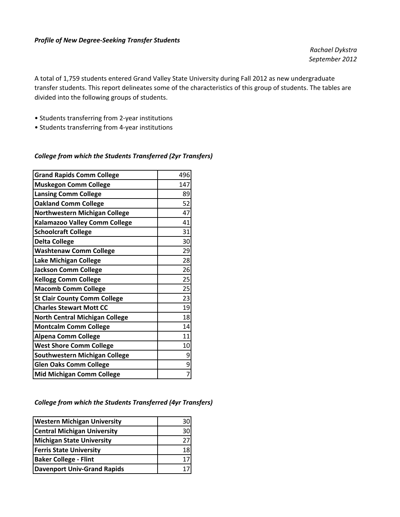#### *Profile of New Degree‐Seeking Transfer Students*

*Rachael Dykstra September 2012*

A total of 1,759 students entered Grand Valley State University during Fall 2012 as new undergraduate transfer students. This report delineates some of the characteristics of this group of students. The tables are divided into the following groups of students.

- Students transferring from 2‐year institutions
- Students transferring from 4‐year institutions

### *College from which the Students Transferred (2yr Transfers)*

| <b>Grand Rapids Comm College</b>      | 496 |
|---------------------------------------|-----|
| <b>Muskegon Comm College</b>          | 147 |
| <b>Lansing Comm College</b>           | 89  |
| <b>Oakland Comm College</b>           | 52  |
| Northwestern Michigan College         | 47  |
| Kalamazoo Valley Comm College         | 41  |
| <b>Schoolcraft College</b>            | 31  |
| <b>Delta College</b>                  | 30  |
| <b>Washtenaw Comm College</b>         | 29  |
| Lake Michigan College                 | 28  |
| <b>Jackson Comm College</b>           | 26  |
| <b>Kellogg Comm College</b>           | 25  |
| <b>Macomb Comm College</b>            | 25  |
| <b>St Clair County Comm College</b>   | 23  |
| <b>Charles Stewart Mott CC</b>        | 19  |
| <b>North Central Michigan College</b> | 18  |
| <b>Montcalm Comm College</b>          | 14  |
| <b>Alpena Comm College</b>            | 11  |
| <b>West Shore Comm College</b>        | 10  |
| Southwestern Michigan College         | 9   |
| <b>Glen Oaks Comm College</b>         | 9   |
| <b>Mid Michigan Comm College</b>      | 7   |

### *College from which the Students Transferred (4yr Transfers)*

| <b>Western Michigan University</b> | 30 |
|------------------------------------|----|
| <b>Central Michigan University</b> | 30 |
| <b>Michigan State University</b>   |    |
| <b>Ferris State University</b>     | 18 |
| <b>Baker College - Flint</b>       |    |
| <b>Davenport Univ-Grand Rapids</b> |    |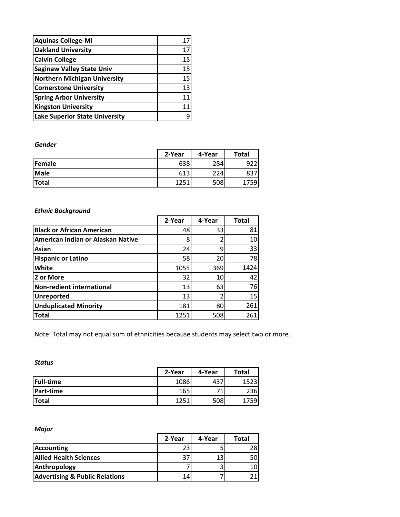| <b>Aquinas College-MI</b>             | 17 |
|---------------------------------------|----|
| <b>Oakland University</b>             | 17 |
| <b>Calvin College</b>                 | 15 |
| <b>Saginaw Valley State Univ</b>      | 15 |
| <b>Northern Michigan University</b>   | 15 |
| <b>Cornerstone University</b>         | 13 |
| <b>Spring Arbor University</b>        | 11 |
| <b>Kingston University</b>            | 11 |
| <b>Lake Superior State University</b> |    |

*Gender*

|              | 2-Year | 4-Year | Total |
|--------------|--------|--------|-------|
| Female       | 638    | 284    | 922   |
| <b>Male</b>  | 613    | 224.   | 837   |
| <b>Total</b> | 1251   | 508    | ا59'  |

# *Ethnic Background*

|                                   | 2-Year | 4-Year | <b>Total</b>    |
|-----------------------------------|--------|--------|-----------------|
| <b>Black or African American</b>  | 48     | 33     | 81              |
| American Indian or Alaskan Native | 8      |        | 10              |
| Asian                             | 24     | 9      | 33              |
| <b>Hispanic or Latino</b>         | 58     | 20     | 78              |
| White                             | 1055   | 369    | 1424            |
| 2 or More                         | 32     | 10     | 42              |
| Non-redient international         | 13     | 63     | 76              |
| <b>Unreported</b>                 | 13     |        | 15 <sup>1</sup> |
| <b>Unduplicated Minority</b>      | 181    | 80     | 261             |
| <b>Total</b>                      | 1251   | 508    | 261             |

Note: Total may not equal sum of ethnicities because students may select two or more.

*Status*

|                  | 2-Year | 4-Year | <b>Total</b> |
|------------------|--------|--------|--------------|
| <b>Full-time</b> | 1086   | 437    | 1523         |
| <b>Part-time</b> | 165    |        | 236I         |
| <b>Total</b>     | 1251   | 508    | 1759         |

# *Major*

|                                           | 2-Year | 4-Year | Total |
|-------------------------------------------|--------|--------|-------|
| <b>Accounting</b>                         | 23     |        | 281   |
| <b>Allied Health Sciences</b>             |        | 13     | 50I   |
| Anthropology                              |        |        | 101   |
| <b>Advertising &amp; Public Relations</b> | 14     |        |       |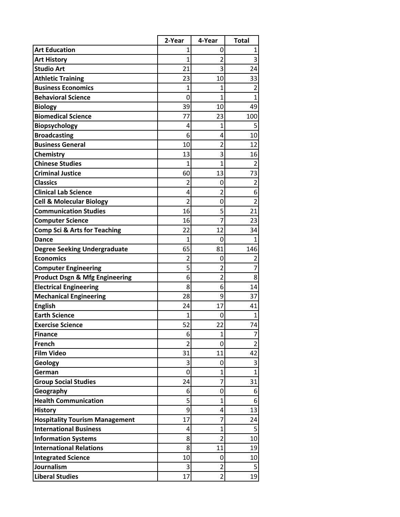|                                           | 2-Year         | 4-Year                           | <b>Total</b>            |
|-------------------------------------------|----------------|----------------------------------|-------------------------|
| <b>Art Education</b>                      | 1              | 0                                | 1                       |
| <b>Art History</b>                        | 1              | 2                                | 3                       |
| <b>Studio Art</b>                         | 21             | 3                                | 24                      |
| <b>Athletic Training</b>                  | 23             | 10                               | 33                      |
| <b>Business Economics</b>                 | 1              | 1                                | $\overline{2}$          |
| <b>Behavioral Science</b>                 | 0              | 1                                | $\mathbf{1}$            |
| <b>Biology</b>                            | 39             | 10                               | 49                      |
| <b>Biomedical Science</b>                 | 77             | 23                               | 100                     |
| Biopsychology                             | 4              | $\mathbf{1}$                     | 5                       |
| <b>Broadcasting</b>                       | 6              | 4                                | 10                      |
| <b>Business General</b>                   | 10             | 2                                | 12                      |
| Chemistry                                 | 13             | 3                                | 16                      |
| <b>Chinese Studies</b>                    | 1              | $\overline{1}$                   | $\overline{2}$          |
| <b>Criminal Justice</b>                   | 60             | 13                               | 73                      |
| <b>Classics</b>                           | $\overline{2}$ | 0                                | $\overline{\mathbf{c}}$ |
| <b>Clinical Lab Science</b>               | 4              | $\overline{2}$                   | 6                       |
| <b>Cell &amp; Molecular Biology</b>       | $\overline{2}$ | 0                                | $\overline{\mathbf{c}}$ |
| <b>Communication Studies</b>              | 16             | 5                                | 21                      |
| <b>Computer Science</b>                   | 16             | $\overline{7}$                   | 23                      |
| <b>Comp Sci &amp; Arts for Teaching</b>   | 22             | 12                               | 34                      |
| <b>Dance</b>                              | $\mathbf{1}$   | 0                                | 1                       |
| <b>Degree Seeking Undergraduate</b>       | 65             | 81                               | 146                     |
| <b>Economics</b>                          | $\overline{2}$ | 0                                | 2                       |
| <b>Computer Engineering</b>               | 5              | 2                                | 7                       |
| <b>Product Dsgn &amp; Mfg Engineering</b> | 6              | 2                                | 8                       |
| <b>Electrical Engineering</b>             | 8              | 6                                | 14                      |
| <b>Mechanical Engineering</b>             | 28             | 9                                | 37                      |
| <b>English</b>                            | 24             | 17                               | 41                      |
| <b>Earth Science</b>                      | 1              | 0                                | 1                       |
| <b>Exercise Science</b>                   | 52             | 22                               | 74                      |
| <b>Finance</b>                            | 6              | 1                                | 7                       |
| French                                    | $\overline{2}$ | 0                                | $\overline{2}$          |
| <b>Film Video</b>                         | 31             | 11                               | 42                      |
| Geology                                   | 3              | 0                                | 3                       |
| German                                    | 0              | $\mathbf{1}$                     | $\overline{1}$          |
| <b>Group Social Studies</b>               | 24             | 7                                | 31                      |
| Geography<br><b>Health Communication</b>  | 6              | 0                                | 6                       |
|                                           | 5              | $\overline{1}$                   | 6                       |
| <b>History</b>                            | 9              | 4                                | 13                      |
| <b>Hospitality Tourism Management</b>     | 17             | 7                                | 24                      |
| <b>International Business</b>             | 4              | $\overline{1}$<br>$\overline{2}$ | 5                       |
| <b>Information Systems</b>                | 8              |                                  | 10                      |
| <b>International Relations</b>            | 8              | 11                               | 19                      |
| <b>Integrated Science</b>                 | 10             | 0                                | 10                      |
| Journalism                                | 3              | 2                                | 5                       |
| <b>Liberal Studies</b>                    | 17             | $\overline{2}$                   | 19                      |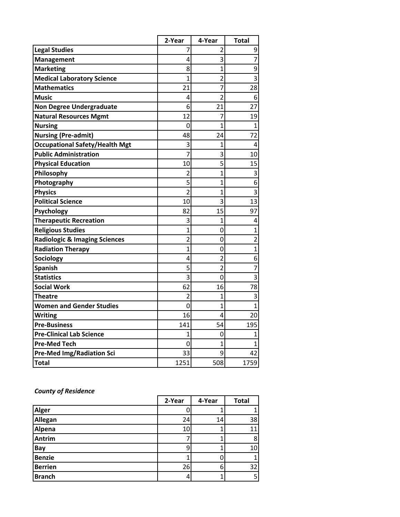|                                          | 2-Year         | 4-Year                  | <b>Total</b>            |
|------------------------------------------|----------------|-------------------------|-------------------------|
| <b>Legal Studies</b>                     | 7              | 2                       | 9                       |
| <b>Management</b>                        | 4              | 3                       | $\overline{7}$          |
| <b>Marketing</b>                         | 8              | $\overline{1}$          | $\overline{9}$          |
| <b>Medical Laboratory Science</b>        | $\overline{1}$ | $\overline{\mathbf{c}}$ | $\overline{3}$          |
| <b>Mathematics</b>                       | 21             | 7                       | 28                      |
| <b>Music</b>                             | 4              | $\overline{2}$          | 6                       |
| <b>Non Degree Undergraduate</b>          | 6              | 21                      | 27                      |
| <b>Natural Resources Mgmt</b>            | 12             | 7                       | 19                      |
| <b>Nursing</b>                           | 0              | $\overline{1}$          | $\mathbf{1}$            |
| <b>Nursing (Pre-admit)</b>               | 48             | 24                      | 72                      |
| <b>Occupational Safety/Health Mgt</b>    | 3              | $\overline{1}$          | 4                       |
| <b>Public Administration</b>             | $\overline{7}$ | 3                       | 10                      |
| <b>Physical Education</b>                | 10             | 5                       | 15                      |
| Philosophy                               | $\overline{2}$ | $\mathbf{1}$            | 3                       |
| Photography                              | 5              | $\overline{1}$          | 6                       |
| <b>Physics</b>                           | $\overline{2}$ | $\mathbf{1}$            | $\overline{\mathbf{3}}$ |
| <b>Political Science</b>                 | 10             | 3                       | 13                      |
| Psychology                               | 82             | 15                      | 97                      |
| <b>Therapeutic Recreation</b>            | 3              | 1                       | 4                       |
| <b>Religious Studies</b>                 | $\overline{1}$ | 0                       | $\overline{1}$          |
| <b>Radiologic &amp; Imaging Sciences</b> | $\overline{2}$ | 0                       | $\overline{2}$          |
| <b>Radiation Therapy</b>                 | $\overline{1}$ | 0                       | $\overline{1}$          |
| Sociology                                | 4              | $\overline{2}$          | 6                       |
| <b>Spanish</b>                           | 5              | $\overline{2}$          | $\overline{7}$          |
| <b>Statistics</b>                        | 3              | 0                       | $\overline{3}$          |
| <b>Social Work</b>                       | 62             | 16                      | 78                      |
| Theatre                                  | $\overline{2}$ | $\overline{1}$          | 3                       |
| <b>Women and Gender Studies</b>          | $\overline{0}$ | $\mathbf{1}$            | $\mathbf{1}$            |
| <b>Writing</b>                           | 16             | 4                       | 20                      |
| <b>Pre-Business</b>                      | 141            | 54                      | 195                     |
| <b>Pre-Clinical Lab Science</b>          | 1              | 0                       | 1                       |
| <b>Pre-Med Tech</b>                      | 0              | 1                       | 1                       |
| <b>Pre-Med Img/Radiation Sci</b>         | 33             | 9                       | 42                      |
| <b>Total</b>                             | 1251           | 508                     | 1759                    |

### *County of Residence*

|                | 2-Year | 4-Year | <b>Total</b> |
|----------------|--------|--------|--------------|
| <b>Alger</b>   |        |        |              |
| Allegan        | 24     | 14     | 38           |
| Alpena         | 10     |        | 11           |
| <b>Antrim</b>  |        |        | 8            |
| <b>Bay</b>     |        |        | 10           |
| <b>Benzie</b>  |        |        |              |
| <b>Berrien</b> | 26     | 6      | 32           |
| <b>Branch</b>  |        |        | 5            |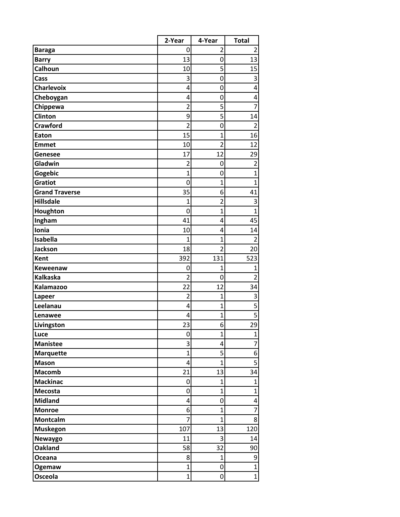|                       | 2-Year         | 4-Year         | <b>Total</b>            |
|-----------------------|----------------|----------------|-------------------------|
| <b>Baraga</b>         | 0              | 2              | $\overline{2}$          |
| <b>Barry</b>          | 13             | 0              | 13                      |
| Calhoun               | 10             | 5              | 15                      |
| Cass                  | 3              | 0              | 3                       |
| Charlevoix            | 4              | 0              | 4                       |
| Cheboygan             | 4              | 0              | 4                       |
| Chippewa              | $\overline{2}$ | 5              | 7                       |
| Clinton               | 9              | 5              | 14                      |
| <b>Crawford</b>       | $\overline{2}$ | 0              | $\overline{2}$          |
| Eaton                 | 15             | $\overline{1}$ | 16                      |
| <b>Emmet</b>          | 10             | $\overline{2}$ | 12                      |
| <b>Genesee</b>        | 17             | 12             | 29                      |
| Gladwin               | $\overline{2}$ | 0              | $\overline{2}$          |
| Gogebic               | $\overline{1}$ | 0              | $\overline{1}$          |
| <b>Gratiot</b>        | 0              | $\mathbf{1}$   | $\overline{1}$          |
| <b>Grand Traverse</b> | 35             | 6              | 41                      |
| <b>Hillsdale</b>      | 1              | $\overline{c}$ | 3                       |
| Houghton              | 0              | $\mathbf{1}$   | $\overline{1}$          |
| Ingham                | 41             | 4              | 45                      |
| Ionia                 | 10             | 4              | 14                      |
| Isabella              | $\overline{1}$ | $\mathbf{1}$   | $\overline{2}$          |
| <b>Jackson</b>        | 18             | $\overline{2}$ | 20                      |
| Kent                  | 392            | 131            | 523                     |
| Keweenaw              | 0              | $\mathbf{1}$   | $\mathbf 1$             |
| <b>Kalkaska</b>       | $\overline{2}$ | 0              | $\overline{2}$          |
| <b>Kalamazoo</b>      | 22             | 12             | 34                      |
| Lapeer                | $\overline{2}$ | $\mathbf{1}$   | 3                       |
| Leelanau              | 4              | $\overline{1}$ | $\overline{5}$          |
| Lenawee               | 4              | $\overline{1}$ | $\overline{5}$          |
| Livingston            | 23             | 6              | 29                      |
| Luce                  | 0              | $\mathbf{1}$   | $\mathbf{1}$            |
| <b>Manistee</b>       | 3              | 4              | 7                       |
| <b>Marquette</b>      | $\overline{1}$ | 5              | 6                       |
| <b>Mason</b>          | 4              | $\overline{1}$ | $\overline{\mathbf{5}}$ |
| <b>Macomb</b>         | 21             | 13             | 34                      |
| <b>Mackinac</b>       | 0              | $\mathbf{1}$   | $\mathbf{1}$            |
| Mecosta               | $\mathbf 0$    | $\mathbf{1}$   | $\overline{1}$          |
| <b>Midland</b>        | 4              | 0              | 4                       |
| <b>Monroe</b>         | 6              | $\overline{1}$ | $\overline{7}$          |
| Montcalm              | 7              | $\mathbf{1}$   | 8                       |
| <b>Muskegon</b>       | 107            | 13             | 120                     |
| Newaygo               | 11             | 3              | 14                      |
| <b>Oakland</b>        | 58             | 32             | 90                      |
| Oceana                | 8              | $\mathbf{1}$   | 9                       |
| Ogemaw                | $\overline{1}$ | 0              | $\overline{1}$          |
| Osceola               | $\mathbf{1}$   | 0              | $\mathbf{1}$            |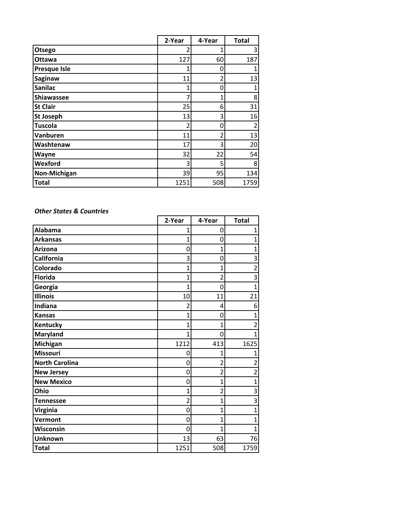|                     | 2-Year | 4-Year         | <b>Total</b> |
|---------------------|--------|----------------|--------------|
| Otsego              | 2      | 1              | 3            |
| Ottawa              | 127    | 60             | 187          |
| <b>Presque Isle</b> | 1      | 0              | 1            |
| Saginaw             | 11     | $\overline{2}$ | 13           |
| <b>Sanilac</b>      | 1      | 0              | 1            |
| Shiawassee          | 7      | 1              | 8            |
| <b>St Clair</b>     | 25     | 6              | 31           |
| <b>St Joseph</b>    | 13     | 3              | 16           |
| <b>Tuscola</b>      | 2      | 0              | 2            |
| Vanburen            | 11     | 2              | 13           |
| Washtenaw           | 17     | 3              | 20           |
| Wayne               | 32     | 22             | 54           |
| Wexford             | 3      | 5              | 8            |
| Non-Michigan        | 39     | 95             | 134          |
| <b>Total</b>        | 1251   | 508            | 1759         |

#### *Other States & Countries*

|                       | 2-Year         | 4-Year                  | <b>Total</b>            |
|-----------------------|----------------|-------------------------|-------------------------|
| <b>Alabama</b>        | $\overline{1}$ | 0                       | $\mathbf{1}$            |
| <b>Arkansas</b>       | $\overline{1}$ | 0                       | $\overline{1}$          |
| <b>Arizona</b>        | 0              | 1                       | $\overline{1}$          |
| California            | 3              | 0                       | 3                       |
| Colorado              | $\overline{1}$ | $\overline{1}$          | $\overline{2}$          |
| <b>Florida</b>        | 1              | $\overline{2}$          | 3                       |
| Georgia               | 1              | $\mathbf 0$             | $\overline{1}$          |
| <b>Illinois</b>       | 10             | 11                      | 21                      |
| Indiana               | $\overline{2}$ | 4                       | 6                       |
| <b>Kansas</b>         | 1              | 0                       | 1                       |
| Kentucky              | 1              | 1                       | $\overline{\mathbf{c}}$ |
| <b>Maryland</b>       | 1              | $\mathbf 0$             | 1                       |
| Michigan              | 1212           | 413                     | 1625                    |
| <b>Missouri</b>       | 0              | 1                       | 1                       |
| <b>North Carolina</b> | 0              | $\overline{2}$          | $\overline{\mathbf{c}}$ |
| <b>New Jersey</b>     | 0              | $\overline{\mathbf{c}}$ | $\overline{\mathbf{c}}$ |
| <b>New Mexico</b>     | 0              | $\overline{1}$          | $\mathbf{1}$            |
| Ohio                  | 1              | $\overline{2}$          | 3                       |
| <b>Tennessee</b>      | 2              | $\mathbf{1}$            | 3                       |
| <b>Virginia</b>       | 0              | 1                       | $\mathbf{1}$            |
| Vermont               | 0              | $\mathbf{1}$            | $\mathbf{1}$            |
| Wisconsin             | 0              | 1                       | 1                       |
| <b>Unknown</b>        | 13             | 63                      | 76                      |
| <b>Total</b>          | 1251           | 508                     | 1759                    |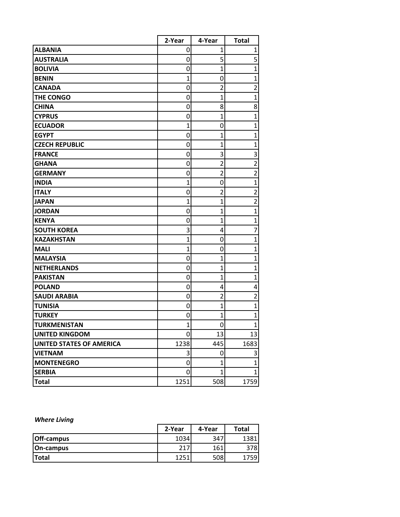|                                 | 2-Year         | 4-Year         | <b>Total</b>            |
|---------------------------------|----------------|----------------|-------------------------|
| <b>ALBANIA</b>                  | 0              | 1              | 1                       |
| <b>AUSTRALIA</b>                | 0              | 5              | 5                       |
| <b>BOLIVIA</b>                  | 0              | $\mathbf{1}$   | $\overline{1}$          |
| <b>BENIN</b>                    | $\overline{1}$ | 0              | $\overline{1}$          |
| <b>CANADA</b>                   | 0              | $\overline{2}$ | $\overline{\mathbf{c}}$ |
| THE CONGO                       | 0              | $\overline{1}$ | $\overline{1}$          |
| <b>CHINA</b>                    | 0              | 8              | 8                       |
| <b>CYPRUS</b>                   | 0              | $\overline{1}$ | $\overline{1}$          |
| <b>ECUADOR</b>                  | $\overline{1}$ | 0              | $\overline{1}$          |
| <b>EGYPT</b>                    | 0              | $\overline{1}$ | $\mathbf{1}$            |
| <b>CZECH REPUBLIC</b>           | 0              | 1              | $\mathbf{1}$            |
| <b>FRANCE</b>                   | 0              | 3              | 3                       |
| <b>GHANA</b>                    | 0              | $\overline{2}$ | $\overline{2}$          |
| <b>GERMANY</b>                  | 0              | $\overline{2}$ | $\overline{2}$          |
| <b>INDIA</b>                    | 1              | 0              | $\overline{1}$          |
| <b>ITALY</b>                    | 0              | $\overline{2}$ | $\overline{2}$          |
| <b>JAPAN</b>                    | 1              | $\overline{1}$ | $\overline{\mathbf{c}}$ |
| <b>JORDAN</b>                   | 0              | $\overline{1}$ | $\overline{1}$          |
| <b>KENYA</b>                    | 0              | $\overline{1}$ | $\mathbf{1}$            |
| <b>SOUTH KOREA</b>              | 3              | 4              | 7                       |
| <b>KAZAKHSTAN</b>               | 1              | 0              | $\overline{1}$          |
| <b>MALI</b>                     | 1              | 0              | $\mathbf{1}$            |
| <b>MALAYSIA</b>                 | 0              | $\mathbf{1}$   | $\mathbf{1}$            |
| <b>NETHERLANDS</b>              | 0              | $\overline{1}$ | $\overline{1}$          |
| <b>PAKISTAN</b>                 | 0              | $\overline{1}$ | $\mathbf 1$             |
| <b>POLAND</b>                   | 0              | 4              | 4                       |
| <b>SAUDI ARABIA</b>             | 0              | $\overline{2}$ | $\overline{2}$          |
| <b>TUNISIA</b>                  | 0              | $\overline{1}$ | $\overline{1}$          |
| <b>TURKEY</b>                   | 0              | $\overline{1}$ | $\overline{1}$          |
| <b>TURKMENISTAN</b>             | 1              | 0              | $\overline{1}$          |
| <b>UNITED KINGDOM</b>           | 0              | 13             | 13                      |
| <b>UNITED STATES OF AMERICA</b> | 1238           | 445            | 1683                    |
| <b>VIETNAM</b>                  | 3              | 0              | 3                       |
| <b>MONTENEGRO</b>               | 0              | $\overline{1}$ | $\overline{1}$          |
| <b>SERBIA</b>                   | 0              | $\mathbf{1}$   | $\mathbf{1}$            |
| <b>Total</b>                    | 1251           | 508            | 1759                    |

# *Where Living*

|                   | 2-Year | 4-Year | <b>Total</b> |
|-------------------|--------|--------|--------------|
| <b>Off-campus</b> | 1034   | 347    | 1381         |
| On-campus         | 217    | 161    | 378          |
| <b>Total</b>      | 1251   | 508    | 759          |